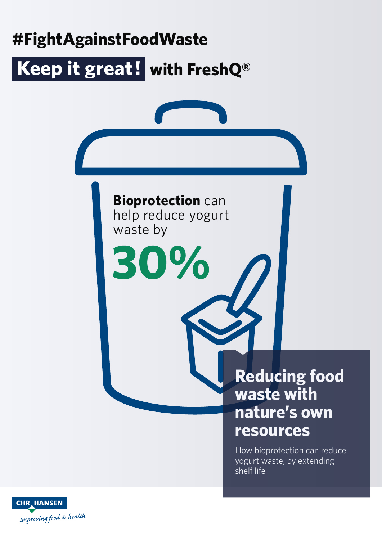

Improving food & health